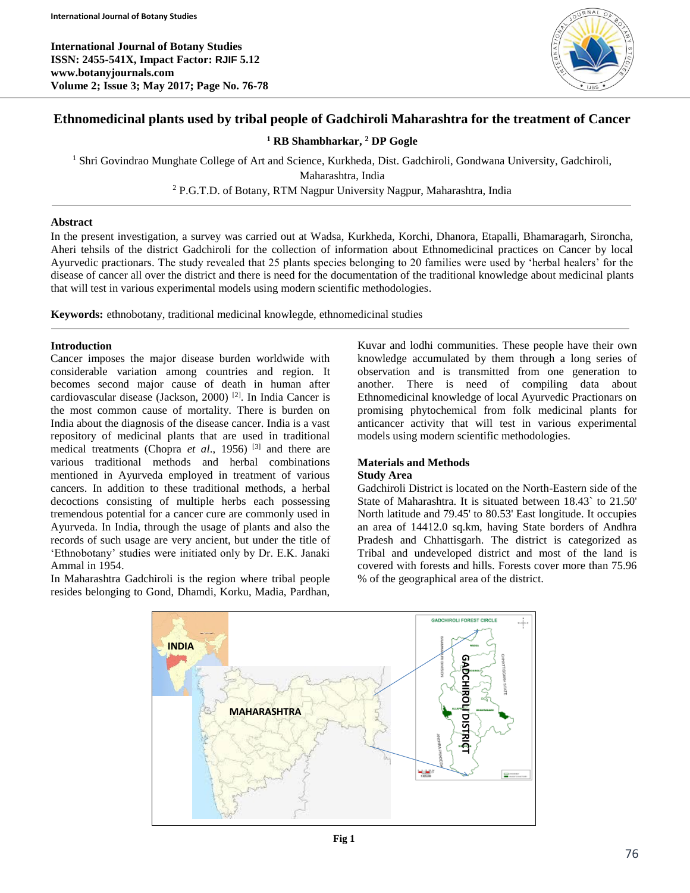**International Journal of Botany Studies ISSN: 2455-541X, Impact Factor: RJIF 5.12 www.botanyjournals.com Volume 2; Issue 3; May 2017; Page No. 76-78**



# **Ethnomedicinal plants used by tribal people of Gadchiroli Maharashtra for the treatment of Cancer**

**<sup>1</sup> RB Shambharkar, <sup>2</sup> DP Gogle**

<sup>1</sup> Shri Govindrao Munghate College of Art and Science, Kurkheda, Dist. Gadchiroli, Gondwana University, Gadchiroli,

Maharashtra, India

<sup>2</sup> P.G.T.D. of Botany, RTM Nagpur University Nagpur, Maharashtra, India

# **Abstract**

In the present investigation, a survey was carried out at Wadsa, Kurkheda, Korchi, Dhanora, Etapalli, Bhamaragarh, Sironcha, Aheri tehsils of the district Gadchiroli for the collection of information about Ethnomedicinal practices on Cancer by local Ayurvedic practionars. The study revealed that 25 plants species belonging to 20 families were used by 'herbal healers' for the disease of cancer all over the district and there is need for the documentation of the traditional knowledge about medicinal plants that will test in various experimental models using modern scientific methodologies.

**Keywords:** ethnobotany, traditional medicinal knowlegde, ethnomedicinal studies

## **Introduction**

Cancer imposes the major disease burden worldwide with considerable variation among countries and region. It becomes second major cause of death in human after cardiovascular disease (Jackson, 2000) [2]. In India Cancer is the most common cause of mortality. There is burden on India about the diagnosis of the disease cancer. India is a vast repository of medicinal plants that are used in traditional medical treatments (Chopra *et al*., 1956) [3] and there are various traditional methods and herbal combinations mentioned in Ayurveda employed in treatment of various cancers. In addition to these traditional methods, a herbal decoctions consisting of multiple herbs each possessing tremendous potential for a cancer cure are commonly used in Ayurveda. In India, through the usage of plants and also the records of such usage are very ancient, but under the title of 'Ethnobotany' studies were initiated only by Dr. E.K. Janaki Ammal in 1954.

In Maharashtra Gadchiroli is the region where tribal people resides belonging to Gond, Dhamdi, Korku, Madia, Pardhan,

Kuvar and lodhi communities. These people have their own knowledge accumulated by them through a long series of observation and is transmitted from one generation to another. There is need of compiling data about Ethnomedicinal knowledge of local Ayurvedic Practionars on promising phytochemical from folk medicinal plants for anticancer activity that will test in various experimental models using modern scientific methodologies.

# **Materials and Methods**

# **Study Area**

Gadchiroli District is located on the North-Eastern side of the State of Maharashtra. It is situated between 18.43` to 21.50' North latitude and 79.45' to 80.53' East longitude. It occupies an area of 14412.0 sq.km, having State borders of Andhra Pradesh and Chhattisgarh. The district is categorized as Tribal and undeveloped district and most of the land is covered with forests and hills. Forests cover more than 75.96 % of the geographical area of the district.



**Fig 1**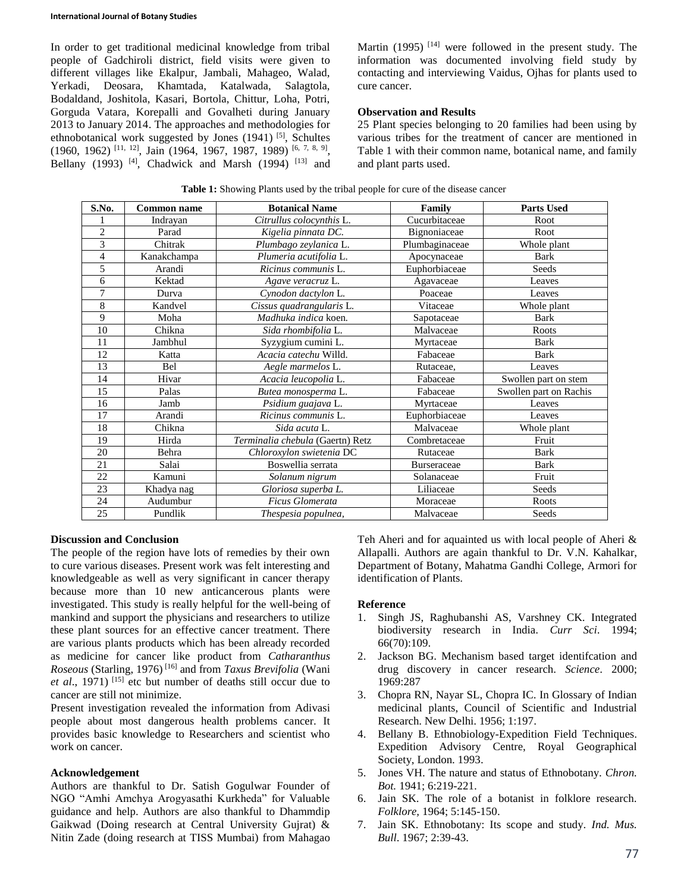In order to get traditional medicinal knowledge from tribal people of Gadchiroli district, field visits were given to different villages like Ekalpur, Jambali, Mahageo, Walad, Yerkadi, Deosara, Khamtada, Katalwada, Salagtola, Bodaldand, Joshitola, Kasari, Bortola, Chittur, Loha, Potri, Gorguda Vatara, Korepalli and Govalheti during January 2013 to January 2014. The approaches and methodologies for ethnobotanical work suggested by Jones  $(1941)$ <sup>[5]</sup>, Schultes  $(1960, 1962)$  [11, 12], Jain (1964, 1967, 1987, 1989) [6, 7, 8, 9], Bellany (1993)<sup>[4]</sup>, Chadwick and Marsh (1994)<sup>[13]</sup> and Martin (1995)  $[14]$  were followed in the present study. The information was documented involving field study by contacting and interviewing Vaidus, Ojhas for plants used to cure cancer.

### **Observation and Results**

25 Plant species belonging to 20 families had been using by various tribes for the treatment of cancer are mentioned in Table 1 with their common name, botanical name, and family and plant parts used.

| S.No.          | <b>Common name</b> | <b>Botanical Name</b>            | Family         | <b>Parts Used</b>      |
|----------------|--------------------|----------------------------------|----------------|------------------------|
|                | Indrayan           | Citrullus colocynthis L.         | Cucurbitaceae  | Root                   |
| $\overline{c}$ | Parad              | Kigelia pinnata DC.              | Bignoniaceae   | Root                   |
| 3              | Chitrak            | Plumbago zeylanica L.            | Plumbaginaceae | Whole plant            |
| 4              | Kanakchampa        | Plumeria acutifolia L.           | Apocynaceae    | Bark                   |
| 5              | Arandi             | Ricinus communis L.              | Euphorbiaceae  | Seeds                  |
| 6              | Kektad             | Agave veracruz L.                | Agavaceae      | Leaves                 |
| 7              | Durva              | Cynodon dactylon L.              | Poaceae        | Leaves                 |
| 8              | Kandvel            | Cissus quadrangularis L.         | Vitaceae       | Whole plant            |
| 9              | Moha               | Madhuka indica koen.             | Sapotaceae     | <b>Bark</b>            |
| 10             | Chikna             | Sida rhombifolia L.              | Malvaceae      | Roots                  |
| 11             | Jambhul            | Syzygium cumini L.               | Myrtaceae      | Bark                   |
| 12             | Katta              | Acacia catechu Willd.            | Fabaceae       | <b>Bark</b>            |
| 13             | Bel                | Aegle marmelos L.                | Rutaceae,      | Leaves                 |
| 14             | Hivar              | Acacia leucopolia L.             | Fabaceae       | Swollen part on stem   |
| 15             | Palas              | Butea monosperma L.              | Fabaceae       | Swollen part on Rachis |
| 16             | Jamb               | Psidium guajava L.               | Myrtaceae      | Leaves                 |
| 17             | Arandi             | Ricinus communis L.              | Euphorbiaceae  | Leaves                 |
| 18             | Chikna             | Sida acuta L.                    | Malvaceae      | Whole plant            |
| 19             | Hirda              | Terminalia chebula (Gaertn) Retz | Combretaceae   | Fruit                  |
| 20             | Behra              | Chloroxylon swietenia DC         | Rutaceae       | <b>Bark</b>            |
| 21             | Salai              | Boswellia serrata                | Burseraceae    | <b>Bark</b>            |
| 22             | Kamuni             | Solanum nigrum                   | Solanaceae     | Fruit                  |
| 23             | Khadya nag         | Gloriosa superba L.              | Liliaceae      | Seeds                  |
| 24             | Audumbur           | Ficus Glomerata                  | Moraceae       | Roots                  |
| 25             | Pundlik            | Thespesia populnea,              | Malvaceae      | Seeds                  |

**Table 1:** Showing Plants used by the tribal people for cure of the disease cancer

## **Discussion and Conclusion**

The people of the region have lots of remedies by their own to cure various diseases. Present work was felt interesting and knowledgeable as well as very significant in cancer therapy because more than 10 new anticancerous plants were investigated. This study is really helpful for the well-being of mankind and support the physicians and researchers to utilize these plant sources for an effective cancer treatment. There are various plants products which has been already recorded as medicine for cancer like product from *Catharanthus Roseous* (Starling, 1976) [16] and from *Taxus Brevifolia* (Wani et al., 1971)<sup>[15]</sup> etc but number of deaths still occur due to cancer are still not minimize.

Present investigation revealed the information from Adivasi people about most dangerous health problems cancer. It provides basic knowledge to Researchers and scientist who work on cancer.

#### **Acknowledgement**

Authors are thankful to Dr. Satish Gogulwar Founder of NGO "Amhi Amchya Arogyasathi Kurkheda" for Valuable guidance and help. Authors are also thankful to Dhammdip Gaikwad (Doing research at Central University Gujrat) & Nitin Zade (doing research at TISS Mumbai) from Mahagao Teh Aheri and for aquainted us with local people of Aheri & Allapalli. Authors are again thankful to Dr. V.N. Kahalkar, Department of Botany, Mahatma Gandhi College, Armori for identification of Plants.

#### **Reference**

- 1. Singh JS, Raghubanshi AS, Varshney CK. Integrated biodiversity research in India. *Curr Sci*. 1994; 66(70):109.
- 2. Jackson BG. Mechanism based target identifcation and drug discovery in cancer research. *Science*. 2000; 1969:287
- 3. Chopra RN, Nayar SL, Chopra IC. In Glossary of Indian medicinal plants, Council of Scientific and Industrial Research. New Delhi. 1956; 1:197.
- 4. Bellany B. Ethnobiology-Expedition Field Techniques. Expedition Advisory Centre, Royal Geographical Society, London. 1993.
- 5. Jones VH. The nature and status of Ethnobotany. *Chron. Bot.* 1941; 6:219-221.
- 6. Jain SK. The role of a botanist in folklore research. *Folklore,* 1964; 5:145-150.
- 7. Jain SK. Ethnobotany: Its scope and study. *Ind. Mus. Bull*. 1967; 2:39-43.